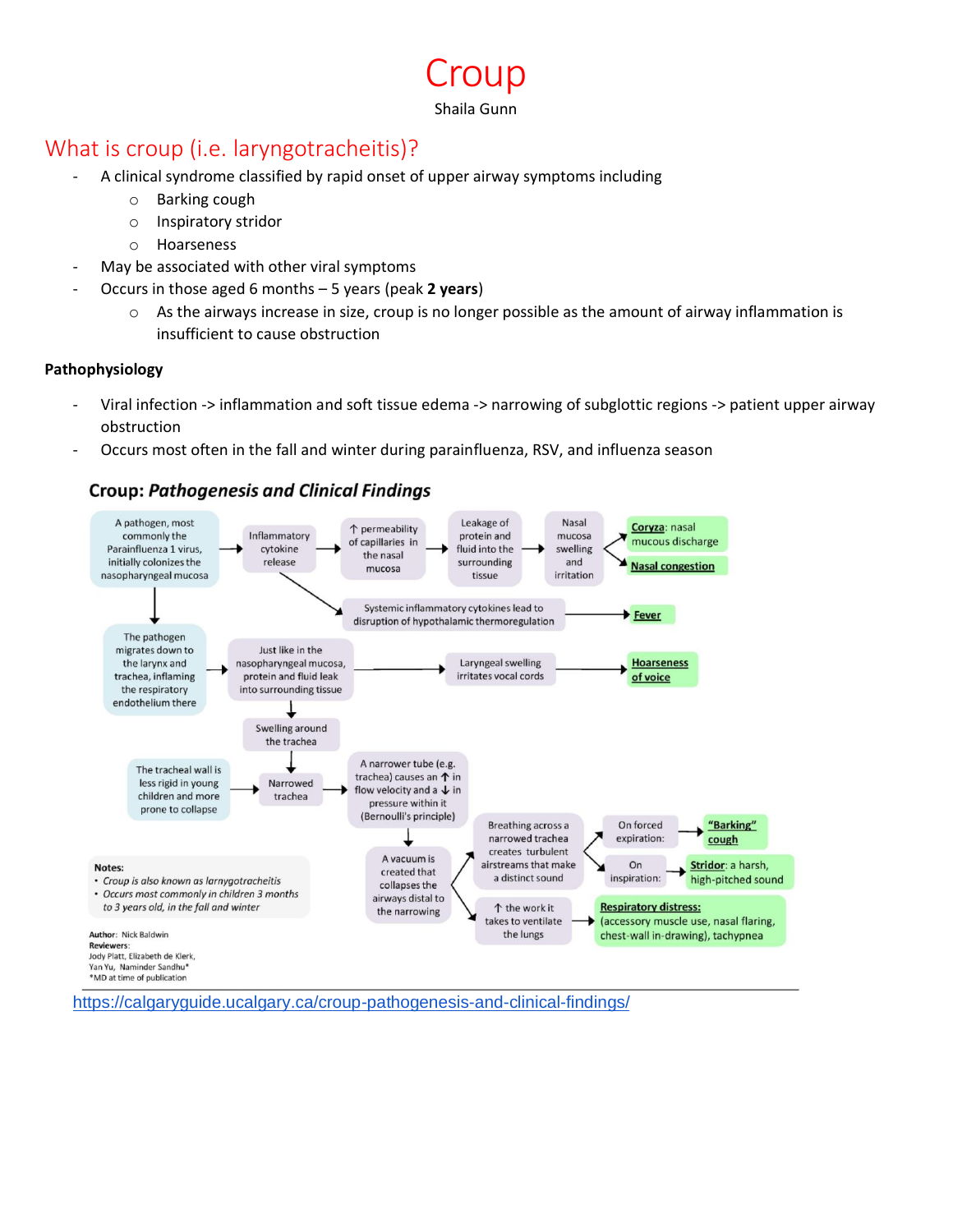## What is croup (i.e. laryngotracheitis)?

- A clinical syndrome classified by rapid onset of upper airway symptoms including
	- o Barking cough
	- o Inspiratory stridor
	- o Hoarseness
- May be associated with other viral symptoms
- Occurs in those aged 6 months 5 years (peak **2 years**)
	- $\circ$  As the airways increase in size, croup is no longer possible as the amount of airway inflammation is insufficient to cause obstruction

roup.

Shaila Gunn

#### **Pathophysiology**

- Viral infection -> inflammation and soft tissue edema -> narrowing of subglottic regions -> patient upper airway obstruction
- Occurs most often in the fall and winter during parainfluenza, RSV, and influenza season

### **Croup: Pathogenesis and Clinical Findings**



<https://calgaryguide.ucalgary.ca/croup-pathogenesis-and-clinical-findings/>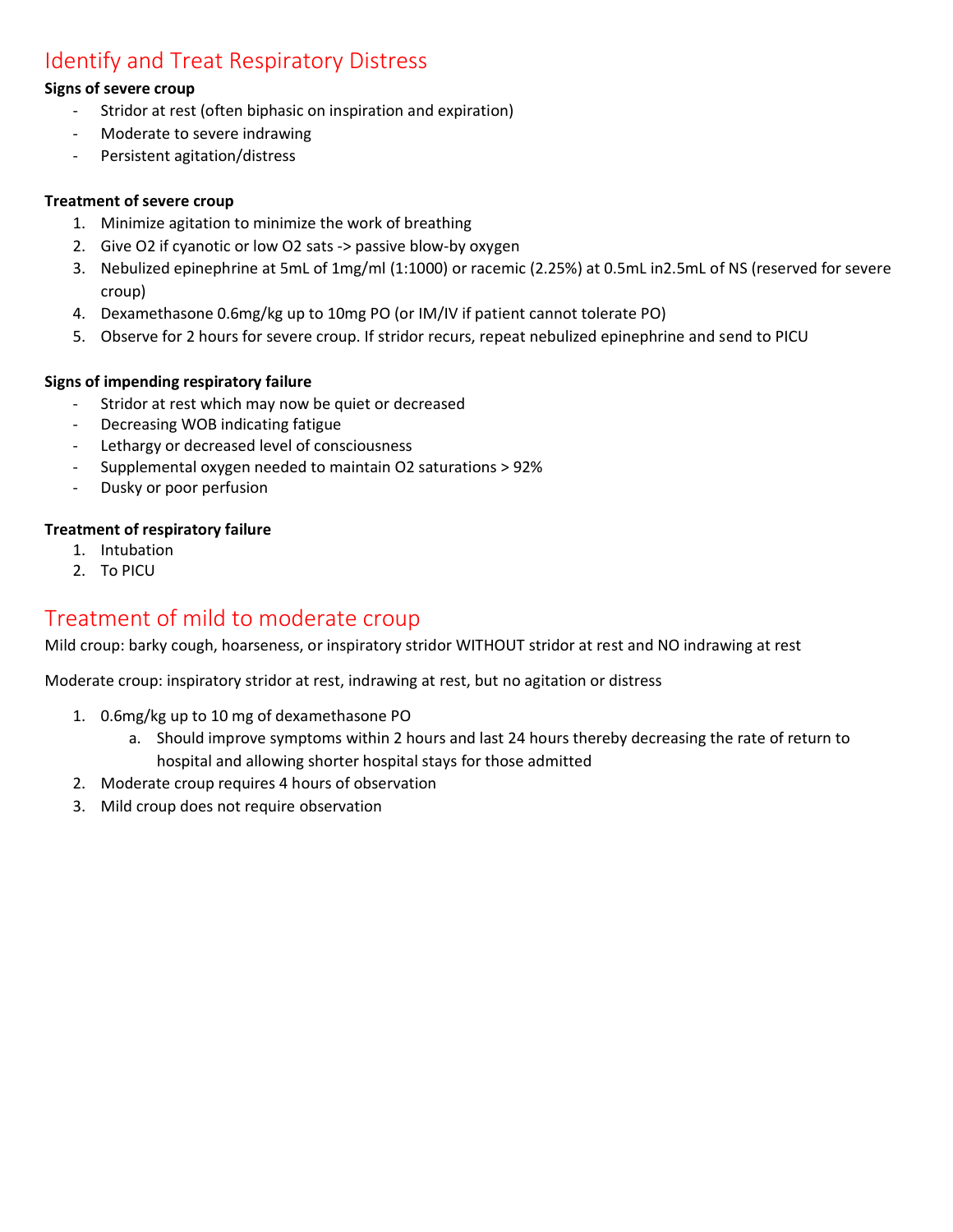## Identify and Treat Respiratory Distress

#### **Signs of severe croup**

- Stridor at rest (often biphasic on inspiration and expiration)
- Moderate to severe indrawing
- Persistent agitation/distress

#### **Treatment of severe croup**

- 1. Minimize agitation to minimize the work of breathing
- 2. Give O2 if cyanotic or low O2 sats -> passive blow-by oxygen
- 3. Nebulized epinephrine at 5mL of 1mg/ml (1:1000) or racemic (2.25%) at 0.5mL in2.5mL of NS (reserved for severe croup)
- 4. Dexamethasone 0.6mg/kg up to 10mg PO (or IM/IV if patient cannot tolerate PO)
- 5. Observe for 2 hours for severe croup. If stridor recurs, repeat nebulized epinephrine and send to PICU

#### **Signs of impending respiratory failure**

- Stridor at rest which may now be quiet or decreased
- Decreasing WOB indicating fatigue
- Lethargy or decreased level of consciousness
- Supplemental oxygen needed to maintain O2 saturations > 92%
- Dusky or poor perfusion

#### **Treatment of respiratory failure**

- 1. Intubation
- 2. To PICU

## Treatment of mild to moderate croup

Mild croup: barky cough, hoarseness, or inspiratory stridor WITHOUT stridor at rest and NO indrawing at rest

Moderate croup: inspiratory stridor at rest, indrawing at rest, but no agitation or distress

- 1. 0.6mg/kg up to 10 mg of dexamethasone PO
	- a. Should improve symptoms within 2 hours and last 24 hours thereby decreasing the rate of return to hospital and allowing shorter hospital stays for those admitted
- 2. Moderate croup requires 4 hours of observation
- 3. Mild croup does not require observation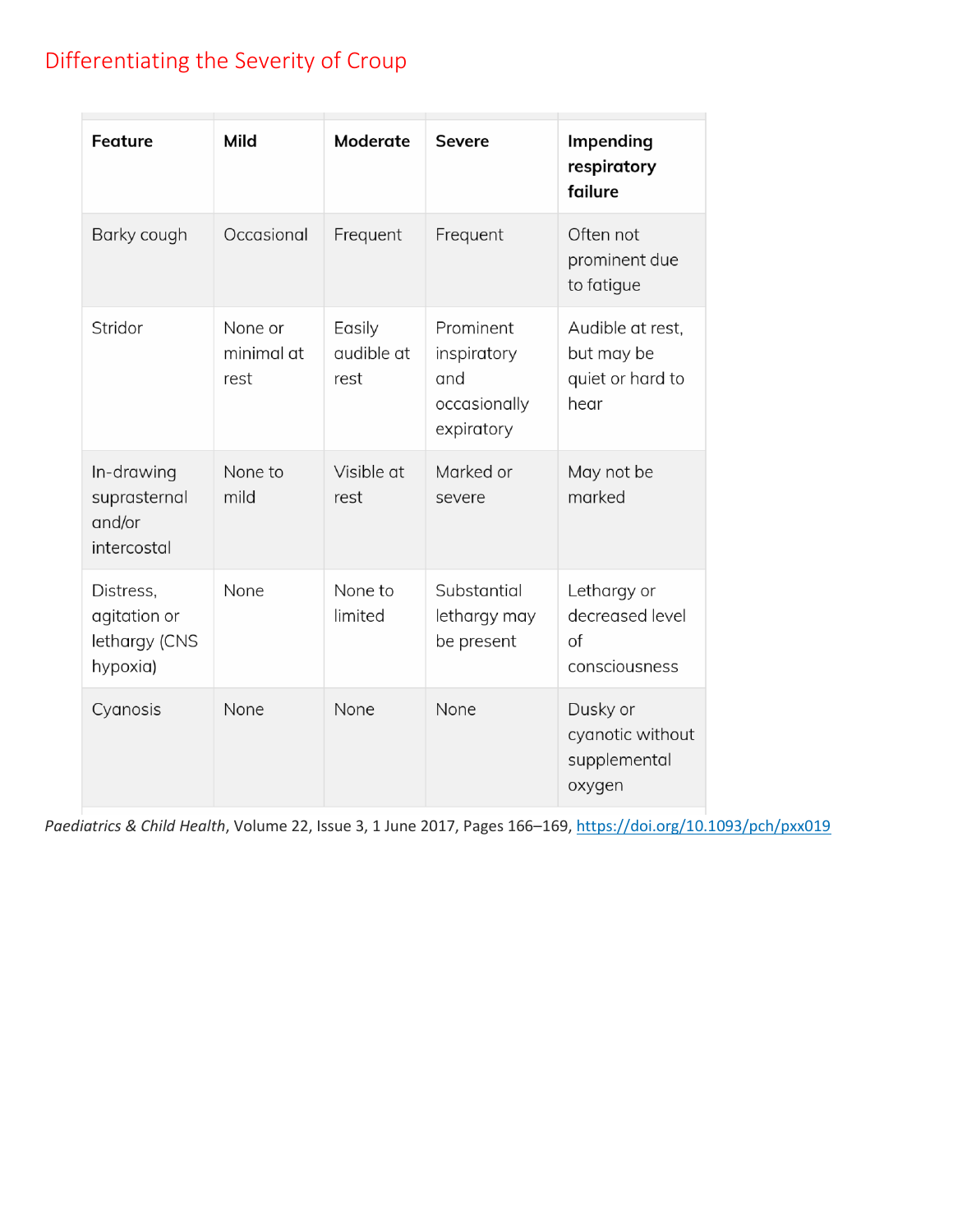# Differentiating the Severity of Croup

| <b>Feature</b>                                         | Mild                          | Moderate                     | <b>Severe</b>                                                 | Impending<br>respiratory<br>failure                        |
|--------------------------------------------------------|-------------------------------|------------------------------|---------------------------------------------------------------|------------------------------------------------------------|
| Barky cough                                            | Occasional                    | Frequent                     | Frequent                                                      | Often not<br>prominent due<br>to fatigue                   |
| Stridor                                                | None or<br>minimal at<br>rest | Easily<br>qudible at<br>rest | Prominent<br>inspiratory<br>and<br>occasionally<br>expiratory | Audible at rest,<br>but may be<br>quiet or hard to<br>hear |
| In-drawing<br>suprasternal<br>and/or<br>intercostal    | None to<br>mild               | Visible at<br>rest           | Marked or<br>severe                                           | May not be<br>marked                                       |
| Distress,<br>agitation or<br>lethargy (CNS<br>hypoxia) | None                          | None to<br>limited           | Substantial<br>lethargy may<br>be present                     | Lethargy or<br>decreased level<br>of<br>consciousness      |
| Cyanosis                                               | None                          | None                         | None                                                          | Dusky or<br>cyanotic without<br>supplemental<br>oxygen     |

*Paediatrics & Child Health*, Volume 22, Issue 3, 1 June 2017, Pages 166–169, <https://doi.org/10.1093/pch/pxx019>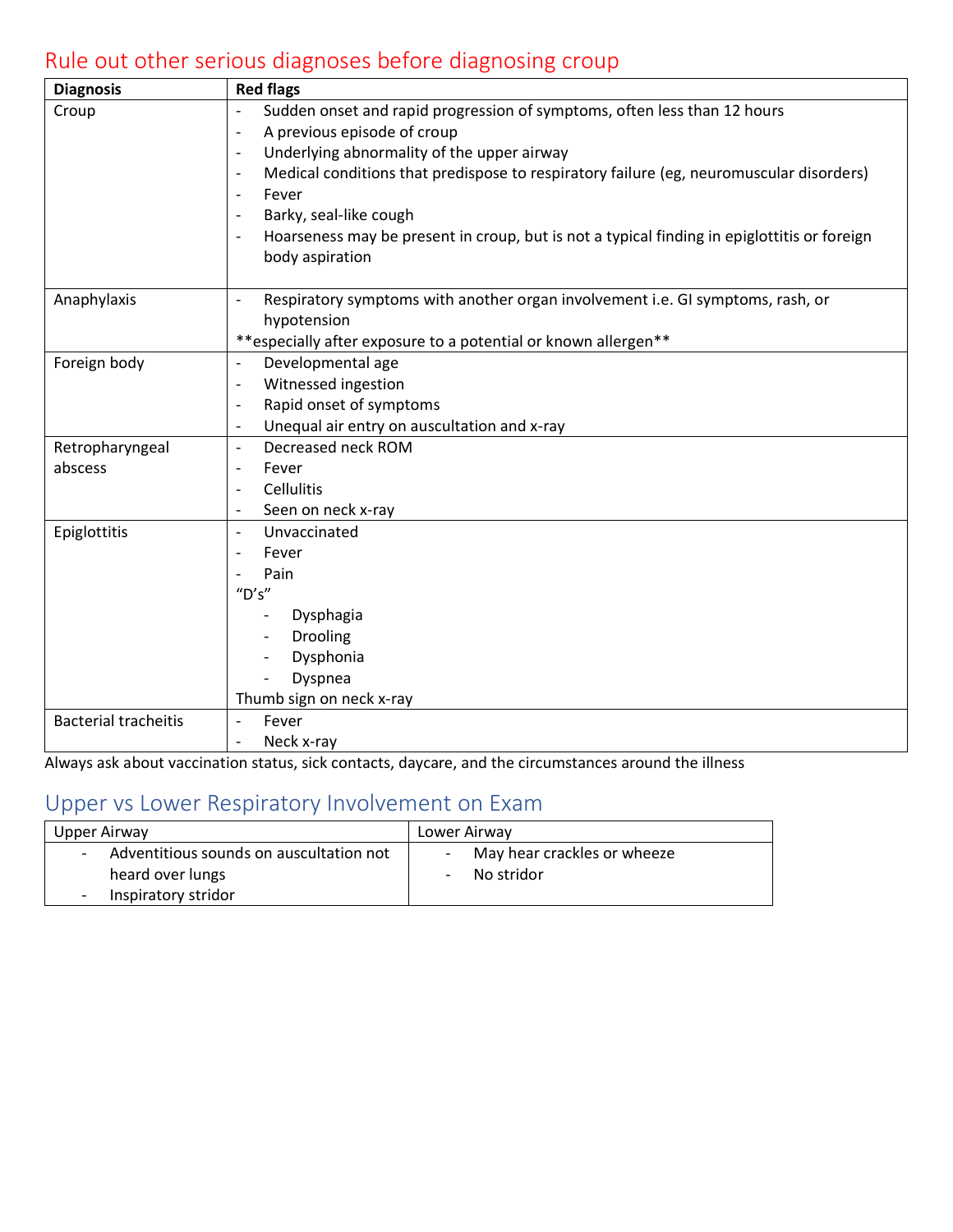# Rule out other serious diagnoses before diagnosing croup

| <b>Diagnosis</b>            | <b>Red flags</b>                                                                                                    |  |  |  |
|-----------------------------|---------------------------------------------------------------------------------------------------------------------|--|--|--|
| Croup                       | Sudden onset and rapid progression of symptoms, often less than 12 hours                                            |  |  |  |
|                             | A previous episode of croup<br>$\overline{\phantom{a}}$                                                             |  |  |  |
|                             | Underlying abnormality of the upper airway<br>÷,                                                                    |  |  |  |
|                             | Medical conditions that predispose to respiratory failure (eg, neuromuscular disorders)<br>$\overline{\phantom{a}}$ |  |  |  |
|                             | Fever<br>$\blacksquare$                                                                                             |  |  |  |
|                             | Barky, seal-like cough                                                                                              |  |  |  |
|                             | Hoarseness may be present in croup, but is not a typical finding in epiglottitis or foreign                         |  |  |  |
|                             | body aspiration                                                                                                     |  |  |  |
| Anaphylaxis                 | Respiratory symptoms with another organ involvement i.e. GI symptoms, rash, or<br>$\overline{\phantom{a}}$          |  |  |  |
|                             | hypotension                                                                                                         |  |  |  |
|                             | **especially after exposure to a potential or known allergen**                                                      |  |  |  |
| Foreign body                | Developmental age<br>$\overline{\phantom{a}}$                                                                       |  |  |  |
|                             | Witnessed ingestion<br>$\overline{\phantom{a}}$                                                                     |  |  |  |
|                             | Rapid onset of symptoms<br>$\overline{\phantom{a}}$                                                                 |  |  |  |
|                             | Unequal air entry on auscultation and x-ray<br>$\overline{\phantom{a}}$                                             |  |  |  |
| Retropharyngeal             | Decreased neck ROM<br>$\overline{\phantom{a}}$                                                                      |  |  |  |
| abscess                     | Fever<br>$\overline{\phantom{a}}$                                                                                   |  |  |  |
|                             | <b>Cellulitis</b><br>$\overline{\phantom{a}}$                                                                       |  |  |  |
|                             | Seen on neck x-ray                                                                                                  |  |  |  |
| Epiglottitis                | Unvaccinated<br>$\overline{\phantom{a}}$                                                                            |  |  |  |
|                             | Fever                                                                                                               |  |  |  |
|                             | Pain                                                                                                                |  |  |  |
|                             | "D's"                                                                                                               |  |  |  |
|                             | Dysphagia                                                                                                           |  |  |  |
|                             | Drooling<br>$\overline{\phantom{a}}$                                                                                |  |  |  |
|                             | Dysphonia                                                                                                           |  |  |  |
|                             | Dyspnea                                                                                                             |  |  |  |
| <b>Bacterial tracheitis</b> | Thumb sign on neck x-ray<br>Fever                                                                                   |  |  |  |
|                             | Neck x-ray                                                                                                          |  |  |  |
|                             |                                                                                                                     |  |  |  |

Always ask about vaccination status, sick contacts, daycare, and the circumstances around the illness

## Upper vs Lower Respiratory Involvement on Exam

| Upper Airway                                                                                                             | Lower Airway                              |  |
|--------------------------------------------------------------------------------------------------------------------------|-------------------------------------------|--|
| Adventitious sounds on auscultation not<br>$\sim$<br>heard over lungs<br>Inspiratory stridor<br>$\overline{\phantom{0}}$ | May hear crackles or wheeze<br>No stridor |  |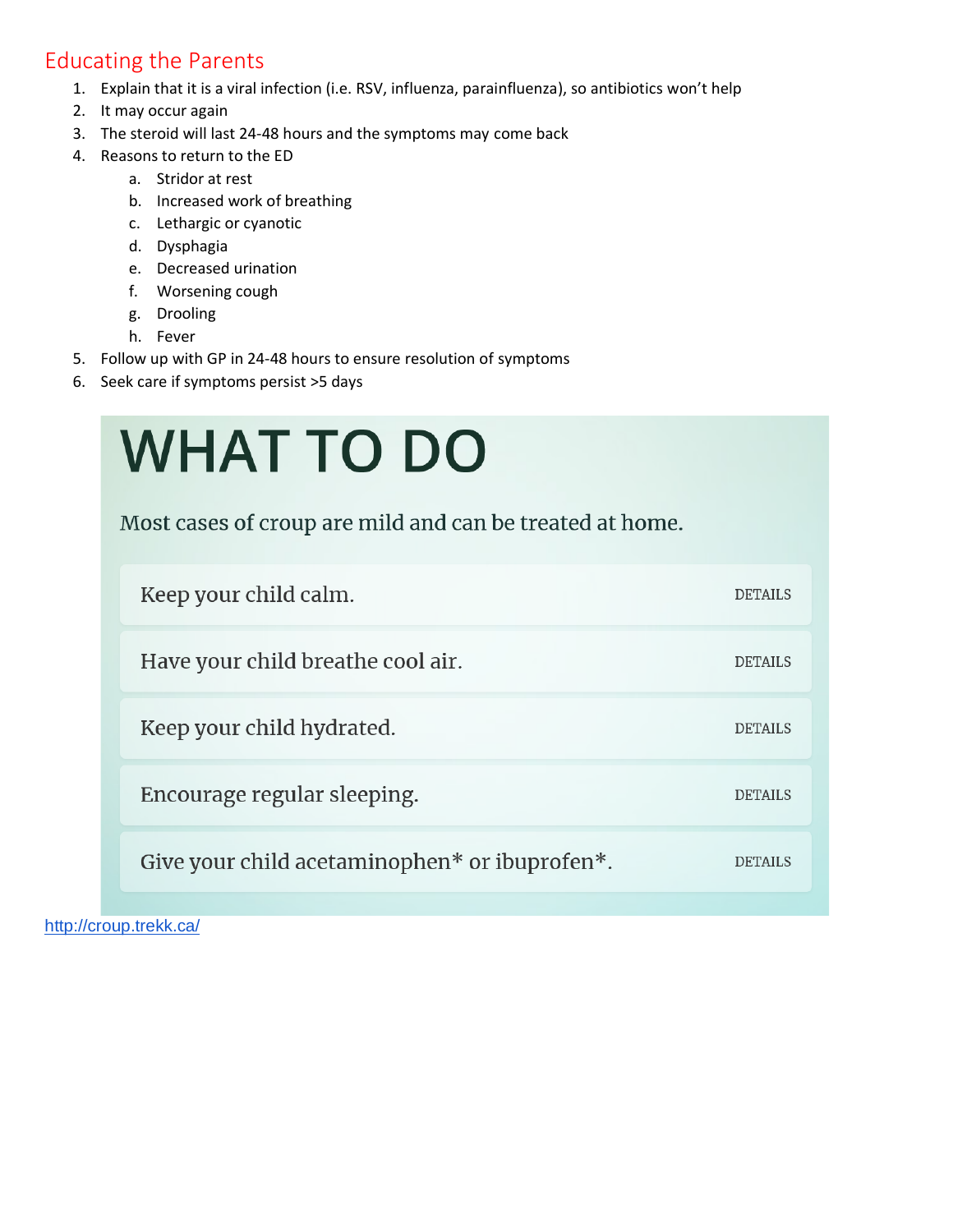### Educating the Parents

- 1. Explain that it is a viral infection (i.e. RSV, influenza, parainfluenza), so antibiotics won't help
- 2. It may occur again
- 3. The steroid will last 24-48 hours and the symptoms may come back
- 4. Reasons to return to the ED
	- a. Stridor at rest
	- b. Increased work of breathing
	- c. Lethargic or cyanotic
	- d. Dysphagia
	- e. Decreased urination
	- f. Worsening cough
	- g. Drooling
	- h. Fever
- 5. Follow up with GP in 24-48 hours to ensure resolution of symptoms
- 6. Seek care if symptoms persist >5 days

| <b>WHAT TO DO</b>                                        |                |  |  |  |
|----------------------------------------------------------|----------------|--|--|--|
| Most cases of croup are mild and can be treated at home. |                |  |  |  |
| Keep your child calm.                                    | <b>DETAILS</b> |  |  |  |
| Have your child breathe cool air.                        | <b>DETAILS</b> |  |  |  |
| Keep your child hydrated.                                | <b>DETAILS</b> |  |  |  |
| Encourage regular sleeping.                              |                |  |  |  |
| Give your child acetaminophen* or ibuprofen*.            |                |  |  |  |

<http://croup.trekk.ca/>